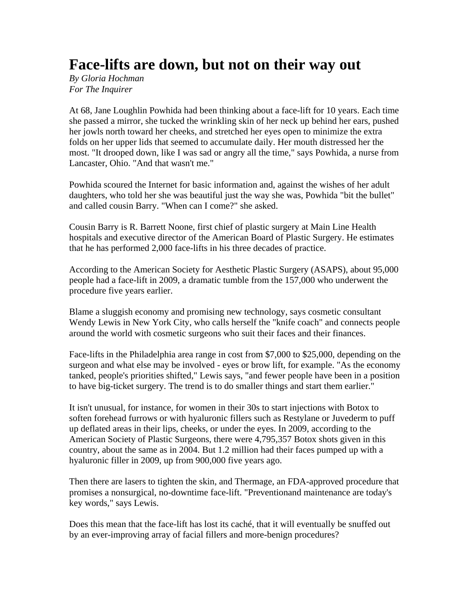## **Face-lifts are down, but not on their way out**

*By Gloria Hochman For The Inquirer* 

At 68, Jane Loughlin Powhida had been thinking about a face-lift for 10 years. Each time she passed a mirror, she tucked the wrinkling skin of her neck up behind her ears, pushed her jowls north toward her cheeks, and stretched her eyes open to minimize the extra folds on her upper lids that seemed to accumulate daily. Her mouth distressed her the most. "It drooped down, like I was sad or angry all the time," says Powhida, a nurse from Lancaster, Ohio. "And that wasn't me."

Powhida scoured the Internet for basic information and, against the wishes of her adult daughters, who told her she was beautiful just the way she was, Powhida "bit the bullet" and called cousin Barry. "When can I come?" she asked.

Cousin Barry is R. Barrett Noone, first chief of plastic surgery at Main Line Health hospitals and executive director of the American Board of Plastic Surgery. He estimates that he has performed 2,000 face-lifts in his three decades of practice.

According to the American Society for Aesthetic Plastic Surgery (ASAPS), about 95,000 people had a face-lift in 2009, a dramatic tumble from the 157,000 who underwent the procedure five years earlier.

Blame a sluggish economy and promising new technology, says cosmetic consultant Wendy Lewis in New York City, who calls herself the "knife coach" and connects people around the world with cosmetic surgeons who suit their faces and their finances.

Face-lifts in the Philadelphia area range in cost from \$7,000 to \$25,000, depending on the surgeon and what else may be involved - eyes or brow lift, for example. "As the economy tanked, people's priorities shifted," Lewis says, "and fewer people have been in a position to have big-ticket surgery. The trend is to do smaller things and start them earlier."

It isn't unusual, for instance, for women in their 30s to start injections with Botox to soften forehead furrows or with hyaluronic fillers such as Restylane or Juvederm to puff up deflated areas in their lips, cheeks, or under the eyes. In 2009, according to the American Society of Plastic Surgeons, there were 4,795,357 Botox shots given in this country, about the same as in 2004. But 1.2 million had their faces pumped up with a hyaluronic filler in 2009, up from 900,000 five years ago.

Then there are lasers to tighten the skin, and Thermage, an FDA-approved procedure that promises a nonsurgical, no-downtime face-lift. "Preventionand maintenance are today's key words," says Lewis.

Does this mean that the face-lift has lost its caché, that it will eventually be snuffed out by an ever-improving array of facial fillers and more-benign procedures?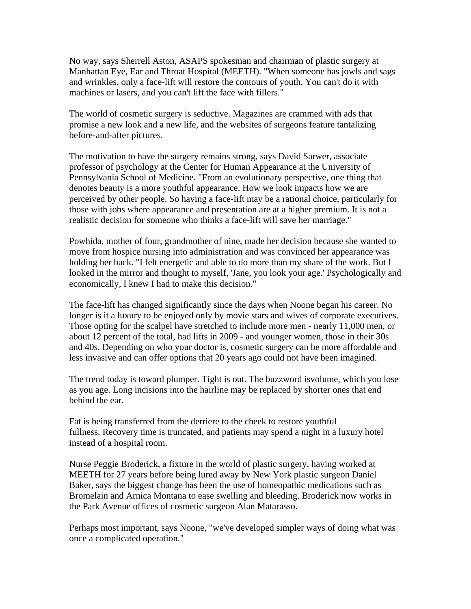No way, says Sherrell Aston, ASAPS spokesman and chairman of plastic surgery at Manhattan Eye, Ear and Throat Hospital (MEETH). "When someone has jowls and sags and wrinkles, only a face-lift will restore the contours of youth. You can't do it with machines or lasers, and you can't lift the face with fillers."

The world of cosmetic surgery is seductive. Magazines are crammed with ads that promise a new look and a new life, and the websites of surgeons feature tantalizing before-and-after pictures.

The motivation to have the surgery remains strong, says David Sarwer, associate professor of psychology at the Center for Human Appearance at the University of Pennsylvania School of Medicine. "From an evolutionary perspective, one thing that denotes beauty is a more youthful appearance. How we look impacts how we are perceived by other people. So having a face-lift may be a rational choice, particularly for those with jobs where appearance and presentation are at a higher premium. It is not a realistic decision for someone who thinks a face-lift will save her marriage."

Powhida, mother of four, grandmother of nine, made her decision because she wanted to move from hospice nursing into administration and was convinced her appearance was holding her back. "I felt energetic and able to do more than my share of the work. But I looked in the mirror and thought to myself, 'Jane, you look your age.' Psychologically and economically, I knew I had to make this decision."

The face-lift has changed significantly since the days when Noone began his career. No longer is it a luxury to be enjoyed only by movie stars and wives of corporate executives. Those opting for the scalpel have stretched to include more men - nearly 11,000 men, or about 12 percent of the total, had lifts in 2009 - and younger women, those in their 30s and 40s. Depending on who your doctor is, cosmetic surgery can be more affordable and less invasive and can offer options that 20 years ago could not have been imagined.

The trend today is toward plumper. Tight is out. The buzzword isvolume, which you lose as you age. Long incisions into the hairline may be replaced by shorter ones that end behind the ear.

Fat is being transferred from the derriere to the cheek to restore youthful fullness. Recovery time is truncated, and patients may spend a night in a luxury hotel instead of a hospital room.

Nurse Peggie Broderick, a fixture in the world of plastic surgery, having worked at MEETH for 27 years before being lured away by New York plastic surgeon Daniel Baker, says the biggest change has been the use of homeopathic medications such as Bromelain and Arnica Montana to ease swelling and bleeding. Broderick now works in the Park Avenue offices of cosmetic surgeon Alan Matarasso.

Perhaps most important, says Noone, "we've developed simpler ways of doing what was once a complicated operation."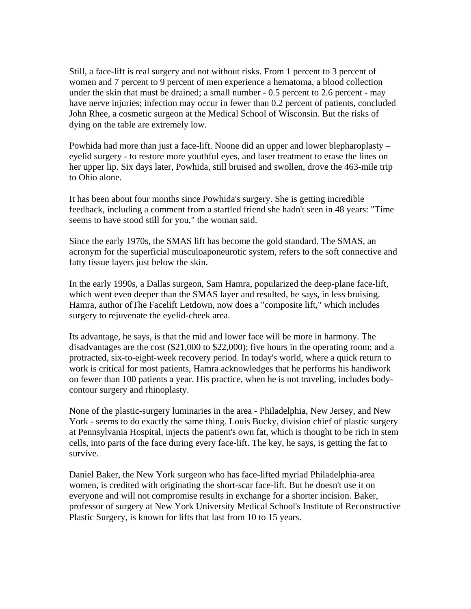Still, a face-lift is real surgery and not without risks. From 1 percent to 3 percent of women and 7 percent to 9 percent of men experience a hematoma, a blood collection under the skin that must be drained; a small number - 0.5 percent to 2.6 percent - may have nerve injuries; infection may occur in fewer than 0.2 percent of patients, concluded John Rhee, a cosmetic surgeon at the Medical School of Wisconsin. But the risks of dying on the table are extremely low.

Powhida had more than just a face-lift. Noone did an upper and lower blepharoplasty – eyelid surgery - to restore more youthful eyes, and laser treatment to erase the lines on her upper lip. Six days later, Powhida, still bruised and swollen, drove the 463-mile trip to Ohio alone.

It has been about four months since Powhida's surgery. She is getting incredible feedback, including a comment from a startled friend she hadn't seen in 48 years: "Time seems to have stood still for you," the woman said.

Since the early 1970s, the SMAS lift has become the gold standard. The SMAS, an acronym for the superficial musculoaponeurotic system, refers to the soft connective and fatty tissue layers just below the skin.

In the early 1990s, a Dallas surgeon, Sam Hamra, popularized the deep-plane face-lift, which went even deeper than the SMAS layer and resulted, he says, in less bruising. Hamra, author ofThe Facelift Letdown, now does a "composite lift," which includes surgery to rejuvenate the eyelid-cheek area.

Its advantage, he says, is that the mid and lower face will be more in harmony. The disadvantages are the cost (\$21,000 to \$22,000); five hours in the operating room; and a protracted, six-to-eight-week recovery period. In today's world, where a quick return to work is critical for most patients, Hamra acknowledges that he performs his handiwork on fewer than 100 patients a year. His practice, when he is not traveling, includes bodycontour surgery and rhinoplasty.

None of the plastic-surgery luminaries in the area - Philadelphia, New Jersey, and New York - seems to do exactly the same thing. Louis Bucky, division chief of plastic surgery at Pennsylvania Hospital, injects the patient's own fat, which is thought to be rich in stem cells, into parts of the face during every face-lift. The key, he says, is getting the fat to survive.

Daniel Baker, the New York surgeon who has face-lifted myriad Philadelphia-area women, is credited with originating the short-scar face-lift. But he doesn't use it on everyone and will not compromise results in exchange for a shorter incision. Baker, professor of surgery at New York University Medical School's Institute of Reconstructive Plastic Surgery, is known for lifts that last from 10 to 15 years.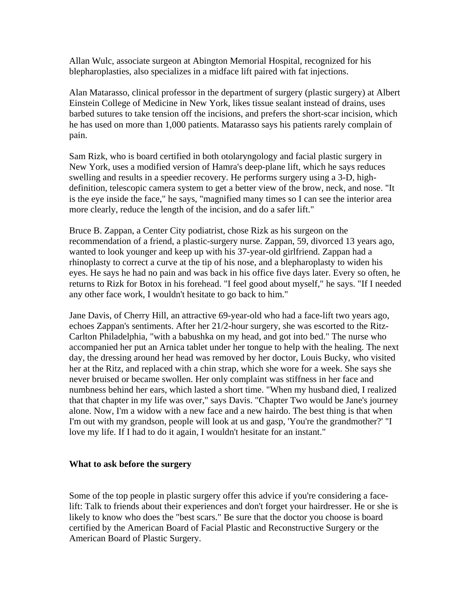Allan Wulc, associate surgeon at Abington Memorial Hospital, recognized for his blepharoplasties, also specializes in a midface lift paired with fat injections.

Alan Matarasso, clinical professor in the department of surgery (plastic surgery) at Albert Einstein College of Medicine in New York, likes tissue sealant instead of drains, uses barbed sutures to take tension off the incisions, and prefers the short-scar incision, which he has used on more than 1,000 patients. Matarasso says his patients rarely complain of pain.

Sam Rizk, who is board certified in both otolaryngology and facial plastic surgery in New York, uses a modified version of Hamra's deep-plane lift, which he says reduces swelling and results in a speedier recovery. He performs surgery using a 3-D, highdefinition, telescopic camera system to get a better view of the brow, neck, and nose. "It is the eye inside the face," he says, "magnified many times so I can see the interior area more clearly, reduce the length of the incision, and do a safer lift."

Bruce B. Zappan, a Center City podiatrist, chose Rizk as his surgeon on the recommendation of a friend, a plastic-surgery nurse. Zappan, 59, divorced 13 years ago, wanted to look younger and keep up with his 37-year-old girlfriend. Zappan had a rhinoplasty to correct a curve at the tip of his nose, and a blepharoplasty to widen his eyes. He says he had no pain and was back in his office five days later. Every so often, he returns to Rizk for Botox in his forehead. "I feel good about myself," he says. "If I needed any other face work, I wouldn't hesitate to go back to him."

Jane Davis, of Cherry Hill, an attractive 69-year-old who had a face-lift two years ago, echoes Zappan's sentiments. After her 21/2-hour surgery, she was escorted to the Ritz-Carlton Philadelphia, "with a babushka on my head, and got into bed." The nurse who accompanied her put an Arnica tablet under her tongue to help with the healing. The next day, the dressing around her head was removed by her doctor, Louis Bucky, who visited her at the Ritz, and replaced with a chin strap, which she wore for a week. She says she never bruised or became swollen. Her only complaint was stiffness in her face and numbness behind her ears, which lasted a short time. "When my husband died, I realized that that chapter in my life was over," says Davis. "Chapter Two would be Jane's journey alone. Now, I'm a widow with a new face and a new hairdo. The best thing is that when I'm out with my grandson, people will look at us and gasp, 'You're the grandmother?' "I love my life. If I had to do it again, I wouldn't hesitate for an instant."

## **What to ask before the surgery**

Some of the top people in plastic surgery offer this advice if you're considering a facelift: Talk to friends about their experiences and don't forget your hairdresser. He or she is likely to know who does the "best scars." Be sure that the doctor you choose is board certified by the American Board of Facial Plastic and Reconstructive Surgery or the American Board of Plastic Surgery.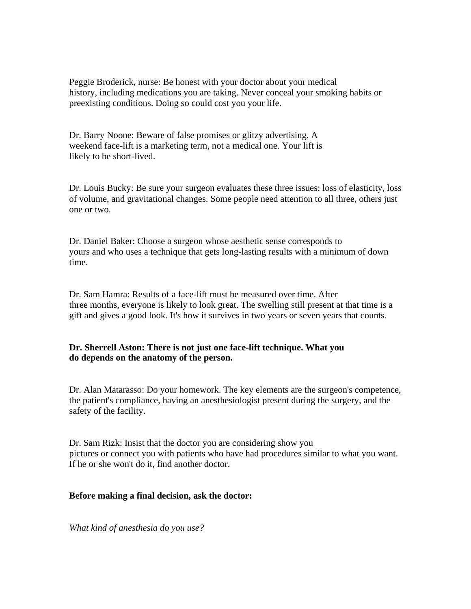Peggie Broderick, nurse: Be honest with your doctor about your medical history, including medications you are taking. Never conceal your smoking habits or preexisting conditions. Doing so could cost you your life.

Dr. Barry Noone: Beware of false promises or glitzy advertising. A weekend face-lift is a marketing term, not a medical one. Your lift is likely to be short-lived.

Dr. Louis Bucky: Be sure your surgeon evaluates these three issues: loss of elasticity, loss of volume, and gravitational changes. Some people need attention to all three, others just one or two.

Dr. Daniel Baker: Choose a surgeon whose aesthetic sense corresponds to yours and who uses a technique that gets long-lasting results with a minimum of down time.

Dr. Sam Hamra: Results of a face-lift must be measured over time. After three months, everyone is likely to look great. The swelling still present at that time is a gift and gives a good look. It's how it survives in two years or seven years that counts.

## **Dr. Sherrell Aston: There is not just one face-lift technique. What you do depends on the anatomy of the person.**

Dr. Alan Matarasso: Do your homework. The key elements are the surgeon's competence, the patient's compliance, having an anesthesiologist present during the surgery, and the safety of the facility.

Dr. Sam Rizk: Insist that the doctor you are considering show you pictures or connect you with patients who have had procedures similar to what you want. If he or she won't do it, find another doctor.

## **Before making a final decision, ask the doctor:**

*What kind of anesthesia do you use?*